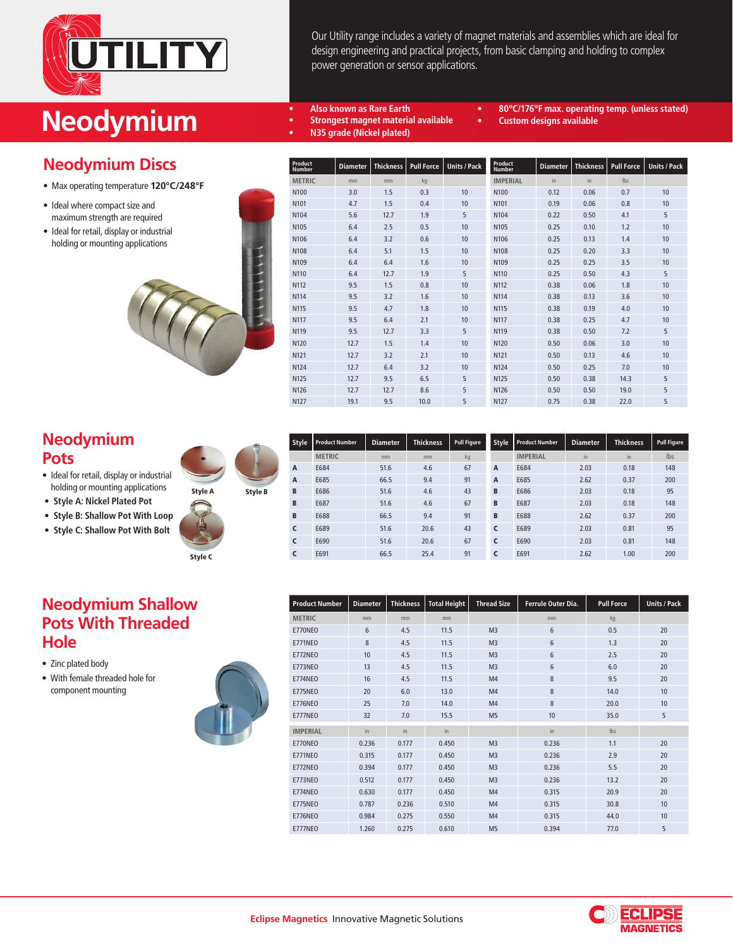

# **Neodymium** •• Also known as Rare Earth<br>
•• Strongest magnet material

# **Neodymium Discs**

- Max operating temperature **120°C/248°F**
- Ideal where compact size and • maximum strength are required
- Ideal for retail, display or industrial • holding or mounting applications



| Our Utility range includes a variety of magnet materials and assemblies which are ideal for |
|---------------------------------------------------------------------------------------------|
| design engineering and practical projects, from basic clamping and holding to complex       |
| power generation or sensor applications.                                                    |

**• 80°C/176°F max. operating temp. (unless stated)**

**• Custom designs available**

- **• Strongest magnet material available**
	- **• N35 grade (Nickel plated)**
- **Product Number Diameter Thickness Pull Force Units / Pack METRIC** mm mm kg N100 3.0 1.5 0.3 10 N101 4.7 1.5 0.4 10 N104 5.6 12.7 1.9 5 N105 6.4 2.5 0.5 10 N106 6.4 3.2 0.6 10 N108 6.4 5.1 1.5 10 N109 6.4 6.4 1.6 10 N110 6.4 12.7 1.9 5 N112 9.5 1.5 0.8 10 N114 9.5 3.2 1.6 10 N115 9.5 4.7 1.8 10 N117 9.5 6.4 2.1 10 N119 9.5 12.7 3.3 5 N120 12.7 1.5 1.4 10 N121 12.7 3.2 2.1 10 N124 12.7 6.4 3.2 10 N125 12.7 9.5 6.5 5 N126 12.7 12.7 8.6 5 N127 19.1 9.5 10.0 5 **Product Number Diameter Thickness Pull Force Units / Pack IMPERIAL** in in lbs N100 0.12 0.06 0.7 10 N101 0.19 0.06 0.8 10 N104 0.22 0.50 4.1 5 N105 0.25 0.10 1.2 10 N106 0.25 0.13 1.4 10 N108 0.25 0.20 3.3 10 N109 0.25 0.25 3.5 10 N110 0.25 0.50 4.3 5 N112 0.38 0.06 1.8 10 N114 0.38 0.13 3.6 10 N115 0.38 0.19 4.0 10 N117 0.38 0.25 4.7 10 N119 0.38 0.50 7.2 5 N120 0.50 0.06 3.0 10 N121 0.50 0.13 4.6 10 N124 0.50 0.25 7.0 10 N125 0.50 0.38 14.3 5 N126 0.50 0.50 19.0 5 N127 0.75 0.38 22.0 5

# **Neodymium Pots**

- Ideal for retail, display or industrial • holding or mounting applications
- **Style A: Nickel Plated Pot**
- **Style B: Shallow Pot With Loop**
- **Style C: Shallow Pot With Bolt**



Style B

| <b>Style</b> | <b>Product Number</b> | <b>Diameter</b> | <b>Thickness</b> | Pull Figure | Style | <b>Product Number</b> | <b>Diameter</b> | <b>Thickness</b> | Pull Figure |
|--------------|-----------------------|-----------------|------------------|-------------|-------|-----------------------|-----------------|------------------|-------------|
|              | <b>METRIC</b>         | mm              | mm               | kg          |       | <b>IMPERIAL</b>       | in              | in               | Ibs         |
| A            | E684                  | 51.6            | 4.6              | 67          | A     | E684                  | 2.03            | 0.18             | 148         |
| A            | E685                  | 66.5            | 9.4              | 91          | A     | E685                  | 2.62            | 0.37             | 200         |
| B            | E686                  | 51.6            | 4.6              | 43          | B     | E686                  | 2.03            | 0.18             | 95          |
| B            | E687                  | 51.6            | 4.6              | 67          | B     | E687                  | 2.03            | 0.18             | 148         |
| B            | E688                  | 66.5            | 9.4              | 91          | B     | E688                  | 2.62            | 0.37             | 200         |
| C            | E689                  | 51.6            | 20.6             | 43          | C     | E689                  | 2.03            | 0.81             | 95          |
| C            | E690                  | 51.6            | 20.6             | 67          | C     | E690                  | 2.03            | 0.81             | 148         |
| C            | E691                  | 66.5            | 25.4             | 91          | C     | E691                  | 2.62            | 1.00             | 200         |

### **Neodymium Shallow Pots With Threaded Hole**

- Zinc plated body
- With female threaded hole for component mounting



| <b>Product Number</b> | <b>Diameter</b> | <b>Thickness</b> | <b>Total Height</b> | <b>Thread Size</b> | Ferrule Outer Dia. | <b>Pull Force</b> | <b>Units / Pack</b> |
|-----------------------|-----------------|------------------|---------------------|--------------------|--------------------|-------------------|---------------------|
| <b>METRIC</b>         | mm              | mm               | mm                  |                    | mm                 | kg                |                     |
| E770NEO               | 6               | 4.5              | 11.5                | M <sub>3</sub>     | 6                  | 0.5               | 20                  |
| <b>E771NEO</b>        | 8               | 4.5              | 11.5                | M <sub>3</sub>     | 6                  | 1.3               | 20                  |
| E772NEO               | 10              | 4.5              | 11.5                | M <sub>3</sub>     | 6                  | 2.5               | 20                  |
| E773NEO               | 13              | 4.5              | 11.5                | M <sub>3</sub>     | 6                  | 6.0               | 20                  |
| <b>E774NEO</b>        | 16              | 4.5              | 11.5                | M4                 | 8                  | 9.5               | 20                  |
| E775NEO               | 20              | 6.0              | 13.0                | M <sub>4</sub>     | 8                  | 14.0              | 10                  |
| <b>E776NEO</b>        | 25              | 7.0              | 14.0                | M4                 | 8                  | 20.0              | 10                  |
| E777NEO               | 32              | 7.0              | 15.5                | M <sub>5</sub>     | 10                 | 35.0              | 5                   |
| <b>IMPERIAL</b>       | $\overline{m}$  | in               | $\mathsf{in}$       |                    | $\mathsf{in}$      | Ibs               |                     |
| E770NEO               | 0.236           | 0.177            | 0.450               | M <sub>3</sub>     | 0.236              | 1.1               | 20                  |
| <b>E771NEO</b>        | 0.315           | 0.177            | 0.450               | M <sub>3</sub>     | 0.236              | 2.9               | 20                  |
| <b>E772NEO</b>        | 0.394           | 0.177            | 0.450               | M <sub>3</sub>     | 0.236              | 5.5               | 20                  |
| E773NEO               | 0.512           | 0.177            | 0.450               | M <sub>3</sub>     | 0.236              | 13.2              | 20                  |
| <b>E774NEO</b>        | 0.630           | 0.177            | 0.450               | M4                 | 0.315              | 20.9              | 20                  |
| E775NEO               | 0.787           | 0.236            | 0.510               | M <sub>4</sub>     | 0.315              | 30.8              | 10                  |
| <b>E776NEO</b>        | 0.984           | 0.275            | 0.550               | M <sub>4</sub>     | 0.315              | 44.0              | 10                  |
| E777NEO               | 1.260           | 0.275            | 0.610               | M <sub>5</sub>     | 0.394              | 77.0              | 5                   |

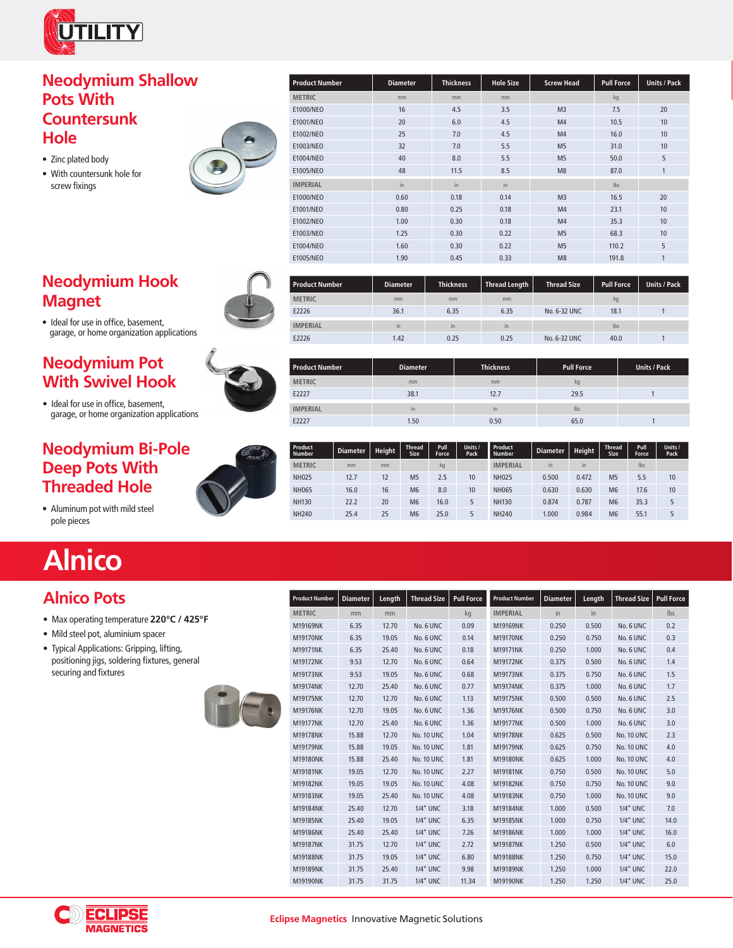

#### **Neodymium Shallow Pots With Countersunk Hole**

- Zinc plated body
- With countersunk hole for



# **Neodymium Hook Magnet**



• Ideal for use in office, basement, garage, or home organization applications

# **Neodymium Pot With Swivel Hook**

• Ideal for use in office, basement, garage, or home organization applications

# **Neodymium Bi-Pole Deep Pots With Threaded Hole**



• Aluminum pot with mild steel pole pieces

# **Alnico**

# **Alnico Pots**

- Max operating temperature **220°C / 425°F**
- Mild steel pot, aluminium spacer
- Typical Applications: Gripping, lifting, • positioning jigs, soldering fixtures, general securing and fixtures



| <b>Product Number</b> | <b>Diameter</b> | Length | <b>Thread Size</b> | <b>Pull Force</b> | <b>Product Number</b> | <b>Diameter</b> | Length | <b>Thread Size</b> | <b>Pull Force</b> |
|-----------------------|-----------------|--------|--------------------|-------------------|-----------------------|-----------------|--------|--------------------|-------------------|
| <b>METRIC</b>         | mm              | mm     |                    | kq                | <b>IMPERIAL</b>       | in              | in     |                    | lbs               |
| M19169NK              | 6.35            | 12.70  | No. 6 UNC          | 0.09              | M19169NK              | 0.250           | 0.500  | No. 6 UNC          | 0.2               |
| <b>M19170NK</b>       | 6.35            | 19.05  | No. 6 UNC          | 0.14              | M19170NK              | 0.250           | 0.750  | No. 6 UNC          | 0.3               |
| M19171NK              | 6.35            | 25.40  | No. 6 UNC          | 0.18              | M19171NK              | 0.250           | 1.000  | No. 6 UNC          | 0.4               |
| M19172NK              | 9.53            | 12.70  | No. 6 UNC          | 0.64              | M19172NK              | 0.375           | 0.500  | No. 6 UNC          | 1.4               |
| M19173NK              | 9.53            | 19.05  | No. 6 UNC          | 0.68              | M19173NK              | 0.375           | 0.750  | No. 6 UNC          | 1.5               |
| M19174NK              | 12.70           | 25.40  | No. 6 UNC          | 0.77              | M19174NK              | 0.375           | 1.000  | No. 6 UNC          | 1.7               |
| M19175NK              | 12.70           | 12.70  | No. 6 UNC          | 1.13              | M19175NK              | 0.500           | 0.500  | No. 6 UNC          | 2.5               |
| M19176NK              | 12.70           | 19.05  | No. 6 UNC          | 1.36              | M19176NK              | 0.500           | 0.750  | No. 6 UNC          | 3.0               |
| M19177NK              | 12.70           | 25.40  | No. 6 UNC          | 1.36              | M19177NK              | 0.500           | 1.000  | No. 6 UNC          | 3.0               |
| M19178NK              | 15.88           | 12.70  | <b>No. 10 UNC</b>  | 1.04              | M19178NK              | 0.625           | 0.500  | <b>No. 10 UNC</b>  | 2.3               |
| M19179NK              | 15.88           | 19.05  | <b>No. 10 UNC</b>  | 1.81              | M19179NK              | 0.625           | 0.750  | <b>No. 10 UNC</b>  | 4.0               |
| M19180NK              | 15.88           | 25.40  | <b>No. 10 UNC</b>  | 1.81              | M19180NK              | 0.625           | 1.000  | <b>No. 10 UNC</b>  | 4.0               |
| M19181NK              | 19.05           | 12.70  | No. 10 UNC         | 2.27              | M19181NK              | 0.750           | 0.500  | No. 10 UNC         | 5.0               |
| M19182NK              | 19.05           | 19.05  | <b>No. 10 UNC</b>  | 4.08              | M19182NK              | 0.750           | 0.750  | <b>No. 10 UNC</b>  | 9.0               |
| M19183NK              | 19.05           | 25.40  | <b>No. 10 UNC</b>  | 4.08              | M19183NK              | 0.750           | 1.000  | <b>No. 10 UNC</b>  | 9.0               |
| M19184NK              | 25.40           | 12.70  | <b>1/4" UNC</b>    | 3.18              | M19184NK              | 1.000           | 0.500  | 1/4" UNC           | 7.0               |
| M19185NK              | 25.40           | 19.05  | <b>1/4" UNC</b>    | 6.35              | M19185NK              | 1.000           | 0.750  | 1/4" UNC           | 14.0              |
| M19186NK              | 25.40           | 25.40  | 1/4" UNC           | 7.26              | M19186NK              | 1.000           | 1.000  | <b>1/4" UNC</b>    | 16.0              |
| M19187NK              | 31.75           | 12.70  | <b>1/4" UNC</b>    | 2.72              | M19187NK              | 1.250           | 0.500  | <b>1/4" UNC</b>    | 6.0               |
| M19188NK              | 31.75           | 19.05  | 1/4" UNC           | 6.80              | M19188NK              | 1.250           | 0.750  | <b>1/4" UNC</b>    | 15.0              |
| M19189NK              | 31.75           | 25.40  | <b>1/4" UNC</b>    | 9.98              | M19189NK              | 1.250           | 1.000  | 1/4" UNC           | 22.0              |
| M19190NK              | 31.75           | 31.75  | <b>1/4" UNC</b>    | 11.34             | M19190NK              | 1.250           | 1.250  | <b>1/4" UNC</b>    | 25.0              |





| <b>Diameter</b> | <b>Thickness</b> |      | <b>Thread Size</b> | <b>Pull Force</b> | <b>Units / Pack</b> |
|-----------------|------------------|------|--------------------|-------------------|---------------------|
| mm              | mm               | mm   |                    | kg                |                     |
| 36.1            | 6.35             | 6.35 | No. 6-32 UNC       | 18.1              |                     |
| in.             | in.              | in.  |                    | lbs               |                     |
| 1.42            | 0.25             | 0.25 | No. 6-32 UNC       | 40.0              |                     |
|                 |                  |      |                    | Thread Length     |                     |

| <b>Product Number</b> | <b>Diameter</b> | <b>Thickness</b> | <b>Pull Force</b> | <b>Units / Pack</b> |
|-----------------------|-----------------|------------------|-------------------|---------------------|
| <b>METRIC</b>         | mm              | mm               | kg                |                     |
| E2227                 | 38.1            | 12.7             | 29.5              |                     |
| <b>IMPERIAL</b>       | in              | in               | lbs               |                     |
| E2227                 | 1.50            | 0.50             | 65.0              |                     |

| Product<br><b>Number</b> | <b>Diameter</b> | <b>Height</b> | <b>Thread</b><br><b>Size</b> | Pull<br>Force | Units<br>Pack | Product<br><b>Number</b> | <b>Diameter</b> | <b>Height</b> | <b>Thread</b><br>Size | Pull<br>Force | Units /<br>Pack |
|--------------------------|-----------------|---------------|------------------------------|---------------|---------------|--------------------------|-----------------|---------------|-----------------------|---------------|-----------------|
| <b>METRIC</b>            | mm              | mm            |                              | kg            |               | <b>IMPERIAL</b>          | in              | in            |                       | lbs           |                 |
| <b>NH025</b>             | 12.7            | 12            | M <sub>5</sub>               | 2.5           | 10            | <b>NH025</b>             | 0.500           | 0.472         | M <sub>5</sub>        | 5.5           | 10              |
| <b>NH065</b>             | 16.0            | 16            | M <sub>6</sub>               | 8.0           | 10            | <b>NH065</b>             | 0.630           | 0.630         | M <sub>6</sub>        | 17.6          | 10              |
| <b>NH130</b>             | 22.2            | 20            | M <sub>6</sub>               | 16.0          | ς             | <b>NH130</b>             | 0.874           | 0.787         | M <sub>6</sub>        | 35.3          |                 |
| <b>NH240</b>             | 25.4            | 25            | M <sub>6</sub>               | 25.0          |               | <b>NH240</b>             | 1.000           | 0.984         | M <sub>6</sub>        | 55.1          |                 |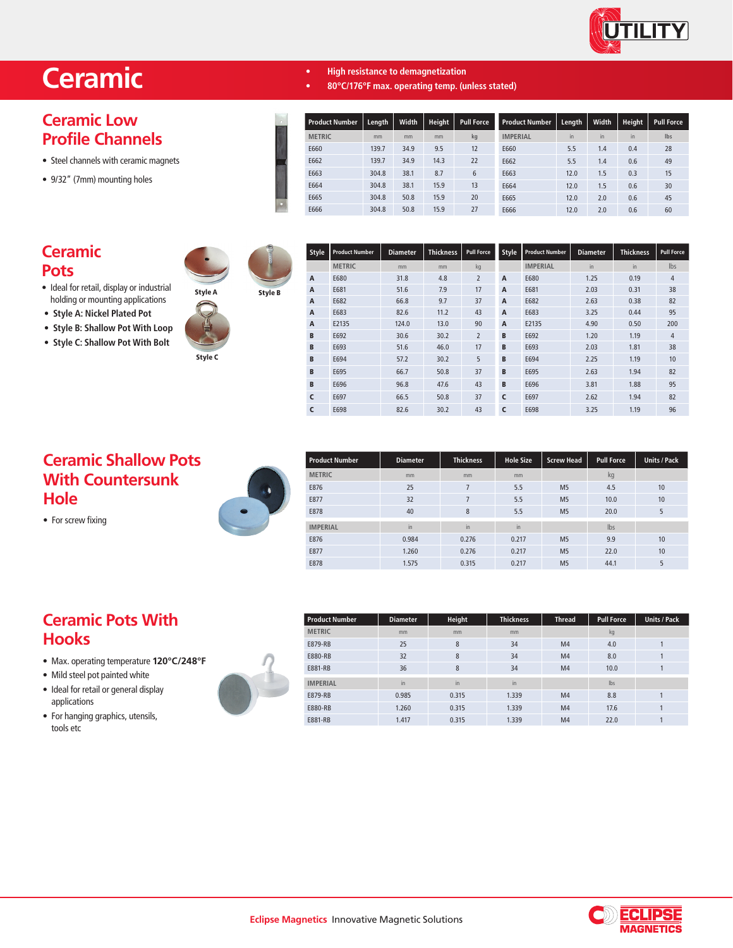

 $Pull Force$ 

# **Ceramic**

# **Ceramic Low Profile Channels**

- Steel channels with ceramic magnets
- 9/32" (7mm) mounting holes

#### **Ceramic Pots**

- Ideal for retail, display or industrial • holding or mounting applications
- **Style A: Nickel Plated Pot**
- **Style B: Shallow Pot With Loop**
- **Style C: Shallow Pot With Bolt**



Style B

Style C

| <b>Product Number</b> | Length | Width | <b>Height</b> | <b>Pull Force</b> | <b>Product Number</b> | Length | Width | <b>Height</b> | Pull For   |
|-----------------------|--------|-------|---------------|-------------------|-----------------------|--------|-------|---------------|------------|
| <b>METRIC</b>         | mm     | mm    | mm            | kg                | <b>IMPERIAL</b>       | in     | in    | in            | <b>lbs</b> |
| E660                  | 139.7  | 34.9  | 9.5           | 12                | E660                  | 5.5    | 1.4   | 0.4           | 28         |
| E662                  | 139.7  | 34.9  | 14.3          | 22                | E662                  | 5.5    | 1.4   | 0.6           | 49         |
| E663                  | 304.8  | 38.1  | 8.7           | 6                 | E663                  | 12.0   | 1.5   | 0.3           | 15         |
| E664                  | 304.8  | 38.1  | 15.9          | 13                | E664                  | 12.0   | 1.5   | 0.6           | 30         |
| E665                  | 304.8  | 50.8  | 15.9          | 20                | E665                  | 12.0   | 2.0   | 0.6           | 45         |
| E666                  | 304.8  | 50.8  | 15.9          | 27                | E666                  | 12.0   | 2.0   | 0.6           | 60         |

**• High resistance to demagnetization**

**• 80°C/176°F max. operating temp. (unless stated)**



| Style | <b>Product Number</b> | <b>Diameter</b> | <b>Thickness</b> | <b>Pull Force</b> | <b>Style</b> | <b>Product Number</b> | <b>Diameter</b> | <b>Thickness</b> | <b>Pull Force</b> |
|-------|-----------------------|-----------------|------------------|-------------------|--------------|-----------------------|-----------------|------------------|-------------------|
|       | <b>METRIC</b>         | mm              | mm               | kg                |              | <b>IMPERIAL</b>       | in              | in               | Ibs               |
| A     | E680                  | 31.8            | 4.8              | $\overline{2}$    | A            | E680                  | 1.25            | 0.19             | 4                 |
| A     | E681                  | 51.6            | 7.9              | 17                | A            | E681                  | 2.03            | 0.31             | 38                |
| A     | E682                  | 66.8            | 9.7              | 37                | A            | E682                  | 2.63            | 0.38             | 82                |
| A     | E683                  | 82.6            | 11.2             | 43                | A            | E683                  | 3.25            | 0.44             | 95                |
| A     | E2135                 | 124.0           | 13.0             | 90                | A            | E2135                 | 4.90            | 0.50             | 200               |
| B     | E692                  | 30.6            | 30.2             | $\overline{2}$    | B            | E692                  | 1.20            | 1.19             | $\overline{4}$    |
| B     | E693                  | 51.6            | 46.0             | 17                | B            | E693                  | 2.03            | 1.81             | 38                |
| B     | E694                  | 57.2            | 30.2             | 5                 | B            | E694                  | 2.25            | 1.19             | 10                |
| B     | E695                  | 66.7            | 50.8             | 37                | B            | E695                  | 2.63            | 1.94             | 82                |
| B     | E696                  | 96.8            | 47.6             | 43                | B            | E696                  | 3.81            | 1.88             | 95                |
| C     | E697                  | 66.5            | 50.8             | 37                | C            | E697                  | 2.62            | 1.94             | 82                |
| C     | E698                  | 82.6            | 30.2             | 43                | C            | E698                  | 3.25            | 1.19             | 96                |

### **Ceramic Shallow Pots With Countersunk Hole**

• For screw fixing



| <b>Product Number</b> | <b>Diameter</b> | <b>Thickness</b> | <b>Hole Size</b> | <b>Screw Head</b> | <b>Pull Force</b> | <b>Units / Pack</b> |
|-----------------------|-----------------|------------------|------------------|-------------------|-------------------|---------------------|
| <b>METRIC</b>         | mm              | mm               | mm               |                   | kg                |                     |
| E876                  | 25              | 7                | 5.5              | M <sub>5</sub>    | 4.5               | 10                  |
| E877                  | 32              | $\overline{7}$   | 5.5              | M <sub>5</sub>    | 10.0              | 10                  |
| E878                  | 40              | 8                | 5.5              | M <sub>5</sub>    | 20.0              | 5                   |
| <b>IMPERIAL</b>       | in              | in.              | in.              |                   | Ibs               |                     |
| E876                  | 0.984           | 0.276            | 0.217            | M <sub>5</sub>    | 9.9               | 10                  |
| E877                  | 1.260           | 0.276            | 0.217            | M <sub>5</sub>    | 22.0              | 10                  |
| E878                  | 1.575           | 0.315            | 0.217            | M <sub>5</sub>    | 44.1              | 5                   |

# **Ceramic Pots With Hooks**

- Max. operating temperature **120°C/248°F**
- Mild steel pot painted white
- Ideal for retail or general display • applications
- For hanging graphics, utensils, tools etc

| <b>Product Number</b> | <b>Diameter</b> | Height | <b>Thickness</b> | Thread         | <b>Pull Force</b> | <b>Units / Pack</b> |
|-----------------------|-----------------|--------|------------------|----------------|-------------------|---------------------|
| <b>METRIC</b>         | mm              | mm     | mm               |                | kg                |                     |
| E879-RB               | 25              | 8      | 34               | M <sub>4</sub> | 4.0               |                     |
| E880-RB               | 32              | 8      | 34               | M <sub>4</sub> | 8.0               |                     |
| E881-RB               | 36              | 8      | 34               | M <sub>4</sub> | 10.0              |                     |
| <b>IMPERIAL</b>       | in              | in     | in               |                | lbs               |                     |
| E879-RB               | 0.985           | 0.315  | 1.339            | M <sub>4</sub> | 8.8               |                     |
| E880-RB               | 1.260           | 0.315  | 1.339            | M <sub>4</sub> | 17.6              |                     |
| E881-RB               | 1.417           | 0.315  | 1.339            | M <sub>4</sub> | 22.0              |                     |